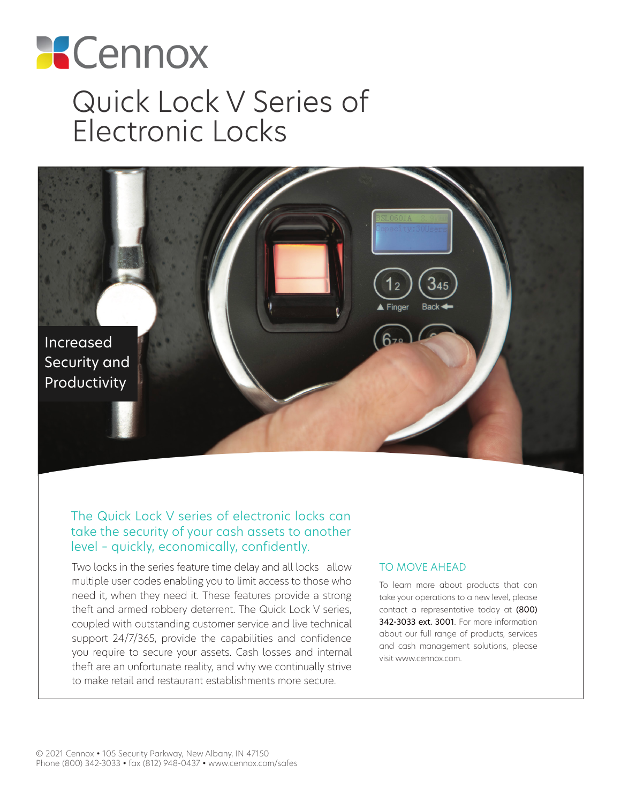# **X** Cennox Quick Lock V Series of Electronic Locks



## The Quick Lock V series of electronic locks can take the security of your cash assets to another level – quickly, economically, confidently.

Two locks in the series feature time delay and all locks allow multiple user codes enabling you to limit access to those who need it, when they need it. These features provide a strong theft and armed robbery deterrent. The Quick Lock V series, coupled with outstanding customer service and live technical support 24/7/365, provide the capabilities and confidence you require to secure your assets. Cash losses and internal theft are an unfortunate reality, and why we continually strive to make retail and restaurant establishments more secure.

#### TO MOVE AHEAD

To learn more about products that can take your operations to a new level, please contact a representative today at (800) 342-3033 ext. 3001. For more information about our full range of products, services and cash management solutions, please visit www.cennox.com.